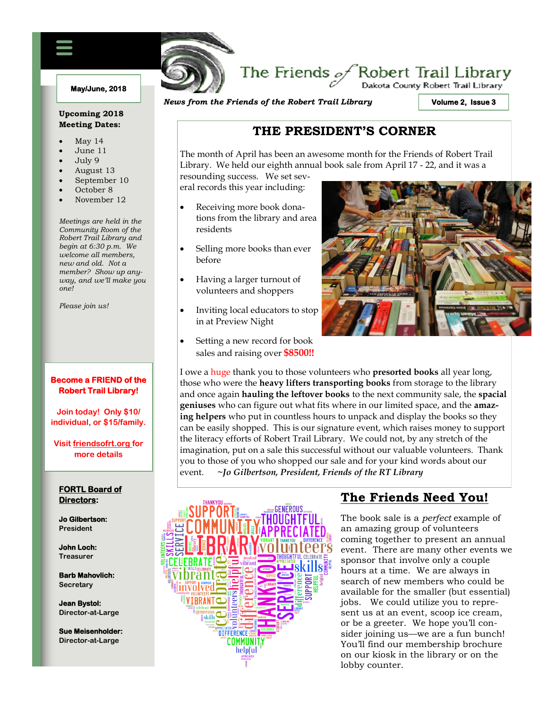#### **May/June, 2018**

#### **Upcoming 2018 Meeting Dates:**

- May 14
- June 11
- July 9
- August 13
- September 10
- October 8
- November 12

*Meetings are held in the Community Room of the Robert Trail Library and begin at 6:30 p.m. We welcome all members, new and old. Not a member? Show up anyway, and we'll make you one!*

*Please join us!*

#### **Become a FRIEND of the Robert Trail Library!**

**Join today! Only \$10/ individual, or \$15/family.**

**Visit friendsofrt.org for more details**

#### **FORTL Board of Directors:**

**Jo Gilbertson: President**

**John Loch: Treasurer**

**Barb Mahovlich: Secretary**

**Jean Bystol: Director-at-Large**

**Sue Meisenholder: Director-at-Large**

*News from the Friends of the Robert Trail Library*

**Volume 2, Issue 3** 

.<br>Dakota County Robert Trail Library

## **THE PRESIDENT'S CORNER**

The Friends  $\mathscr{A}$ Robert Trail Library

The month of April has been an awesome month for the Friends of Robert Trail Library. We held our eighth annual book sale from April 17 - 22, and it was a

resounding success. We set several records this year including:

FRIENDS OF THE ROBERT TRAIL LIBRARY NEWSFILM

- Receiving more book donations from the library and area residents
- Selling more books than ever before
- Having a larger turnout of volunteers and shoppers
- Inviting local educators to stop in at Preview Night
- Setting a new record for book sales and raising over **\$8500!!**



I owe a huge thank you to those volunteers who **presorted books** all year long, those who were the **heavy lifters transporting books** from storage to the library and once again **hauling the leftover books** to the next community sale, the **spacial geniuses** who can figure out what fits where in our limited space, and the **amazing helpers** who put in countless hours to unpack and display the books so they can be easily shopped. This is our signature event, which raises money to support the literacy efforts of Robert Trail Library. We could not, by any stretch of the imagination, put on a sale this successful without our valuable volunteers. Thank you to those of you who shopped our sale and for your kind words about our event. **~***Jo Gilbertson, President, Friends of the RT Library*



# **The Friends Need You!**

The book sale is a *perfect* example of an amazing group of volunteers coming together to present an annual event. There are many other events we sponsor that involve only a couple hours at a time. We are always in search of new members who could be available for the smaller (but essential) jobs. We could utilize you to represent us at an event, scoop ice cream, or be a greeter. We hope you'll consider joining us—we are a fun bunch! You'll find our membership brochure on our kiosk in the library or on the lobby counter.